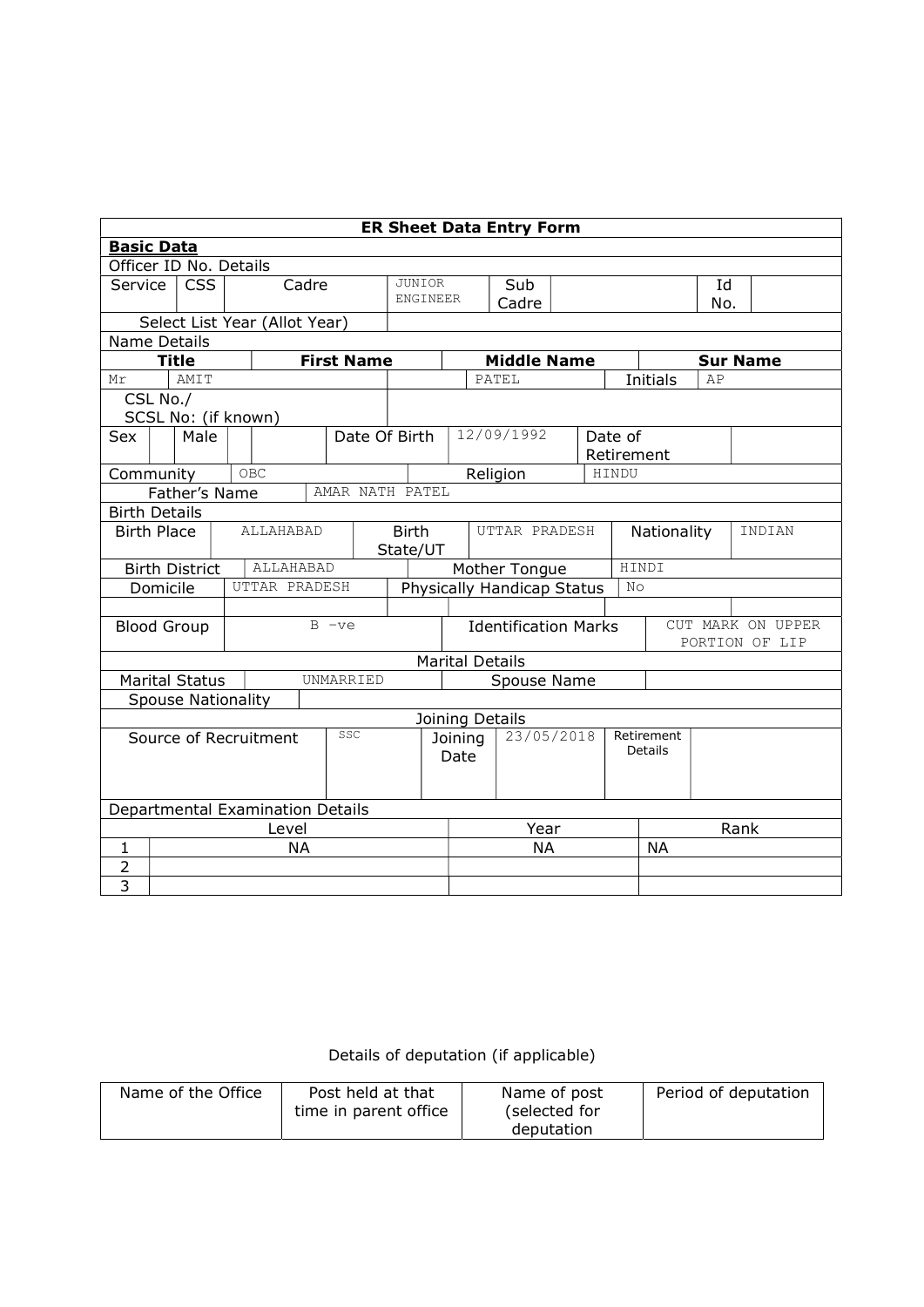| <b>ER Sheet Data Entry Form</b>              |                                                          |                           |  |  |                       |  |                   |                                         |                            |                                       |                    |  |      |                                     |                 |    |                 |
|----------------------------------------------|----------------------------------------------------------|---------------------------|--|--|-----------------------|--|-------------------|-----------------------------------------|----------------------------|---------------------------------------|--------------------|--|------|-------------------------------------|-----------------|----|-----------------|
| <b>Basic Data</b>                            |                                                          |                           |  |  |                       |  |                   |                                         |                            |                                       |                    |  |      |                                     |                 |    |                 |
| Officer ID No. Details                       |                                                          |                           |  |  |                       |  |                   |                                         |                            |                                       |                    |  |      |                                     |                 |    |                 |
| Service                                      |                                                          | <b>CSS</b>                |  |  | Cadre                 |  |                   | <b>JUNIOR</b><br>Sub<br><b>ENGINEER</b> |                            |                                       |                    |  |      | Id                                  |                 |    |                 |
|                                              |                                                          |                           |  |  |                       |  |                   |                                         | Cadre                      |                                       |                    |  |      | No.                                 |                 |    |                 |
|                                              | Select List Year (Allot Year)                            |                           |  |  |                       |  |                   |                                         |                            |                                       |                    |  |      |                                     |                 |    |                 |
| Name Details                                 |                                                          |                           |  |  |                       |  |                   |                                         |                            |                                       |                    |  |      |                                     |                 |    |                 |
|                                              |                                                          | <b>Title</b>              |  |  |                       |  | <b>First Name</b> |                                         |                            |                                       | <b>Middle Name</b> |  |      |                                     |                 |    | <b>Sur Name</b> |
| Mr                                           |                                                          | <b>AMIT</b>               |  |  |                       |  |                   |                                         |                            |                                       | PATEL              |  |      |                                     | <b>Initials</b> | AP |                 |
|                                              | CSL No./                                                 |                           |  |  |                       |  |                   |                                         |                            |                                       |                    |  |      |                                     |                 |    |                 |
|                                              |                                                          | SCSL No: (if known)       |  |  |                       |  |                   |                                         |                            |                                       |                    |  |      |                                     |                 |    |                 |
| Sex                                          |                                                          | Male                      |  |  |                       |  | Date Of Birth     |                                         |                            |                                       | 12/09/1992         |  |      | Date of                             |                 |    |                 |
|                                              |                                                          |                           |  |  |                       |  |                   |                                         |                            |                                       |                    |  |      |                                     | Retirement      |    |                 |
| <b>OBC</b><br>HINDU<br>Community<br>Religion |                                                          |                           |  |  |                       |  |                   |                                         |                            |                                       |                    |  |      |                                     |                 |    |                 |
|                                              | Father's Name<br>AMAR NATH PATEL<br><b>Birth Details</b> |                           |  |  |                       |  |                   |                                         |                            |                                       |                    |  |      |                                     |                 |    |                 |
|                                              |                                                          |                           |  |  |                       |  |                   |                                         |                            |                                       |                    |  |      |                                     |                 |    |                 |
| <b>Birth Place</b>                           |                                                          |                           |  |  | ALLAHABAD             |  |                   | <b>Birth</b>                            |                            |                                       | UTTAR PRADESH      |  |      | Nationality                         |                 |    | INDIAN          |
|                                              |                                                          |                           |  |  |                       |  |                   | State/UT                                |                            |                                       |                    |  |      |                                     |                 |    |                 |
|                                              |                                                          | <b>Birth District</b>     |  |  | ALLAHABAD             |  |                   |                                         |                            | HINDI<br>Mother Tongue                |                    |  |      |                                     |                 |    |                 |
|                                              | Domicile                                                 |                           |  |  | UTTAR PRADESH         |  |                   |                                         | Physically Handicap Status |                                       |                    |  |      | N <sub>O</sub>                      |                 |    |                 |
|                                              |                                                          |                           |  |  |                       |  |                   |                                         |                            |                                       |                    |  |      |                                     |                 |    |                 |
|                                              |                                                          | <b>Blood Group</b>        |  |  |                       |  | $B -ve$           | <b>Identification Marks</b>             |                            |                                       |                    |  |      | CUT MARK ON UPPER<br>PORTION OF LIP |                 |    |                 |
|                                              |                                                          |                           |  |  |                       |  |                   |                                         |                            |                                       |                    |  |      |                                     |                 |    |                 |
|                                              |                                                          | <b>Marital Status</b>     |  |  |                       |  | UNMARRIED         |                                         |                            | <b>Marital Details</b><br>Spouse Name |                    |  |      |                                     |                 |    |                 |
|                                              |                                                          | <b>Spouse Nationality</b> |  |  |                       |  |                   |                                         |                            |                                       |                    |  |      |                                     |                 |    |                 |
|                                              |                                                          |                           |  |  |                       |  |                   |                                         |                            | Joining Details                       |                    |  |      |                                     |                 |    |                 |
|                                              |                                                          |                           |  |  | Source of Recruitment |  | SSC               |                                         |                            | Joining                               | 23/05/2018         |  |      |                                     | Retirement      |    |                 |
|                                              |                                                          |                           |  |  |                       |  |                   |                                         |                            | Date                                  |                    |  |      | Details                             |                 |    |                 |
|                                              |                                                          |                           |  |  |                       |  |                   |                                         |                            |                                       |                    |  |      |                                     |                 |    |                 |
|                                              |                                                          |                           |  |  |                       |  |                   |                                         |                            |                                       |                    |  |      |                                     |                 |    |                 |
|                                              |                                                          |                           |  |  |                       |  |                   |                                         |                            |                                       |                    |  |      |                                     |                 |    |                 |
|                                              | Departmental Examination Details<br>Level                |                           |  |  |                       |  |                   |                                         | Year                       |                                       |                    |  | Rank |                                     |                 |    |                 |
| $\mathbf{1}$                                 |                                                          |                           |  |  | <b>NA</b>             |  |                   |                                         |                            | <b>NA</b>                             |                    |  |      | <b>NA</b>                           |                 |    |                 |
| $\overline{2}$                               |                                                          |                           |  |  |                       |  |                   |                                         |                            |                                       |                    |  |      |                                     |                 |    |                 |
| $\overline{3}$                               |                                                          |                           |  |  |                       |  |                   |                                         |                            |                                       |                    |  |      |                                     |                 |    |                 |

Details of deputation (if applicable)

| Name of the Office | Post held at that     | Name of post  | Period of deputation |
|--------------------|-----------------------|---------------|----------------------|
|                    | time in parent office | (selected for |                      |
|                    |                       | deputation    |                      |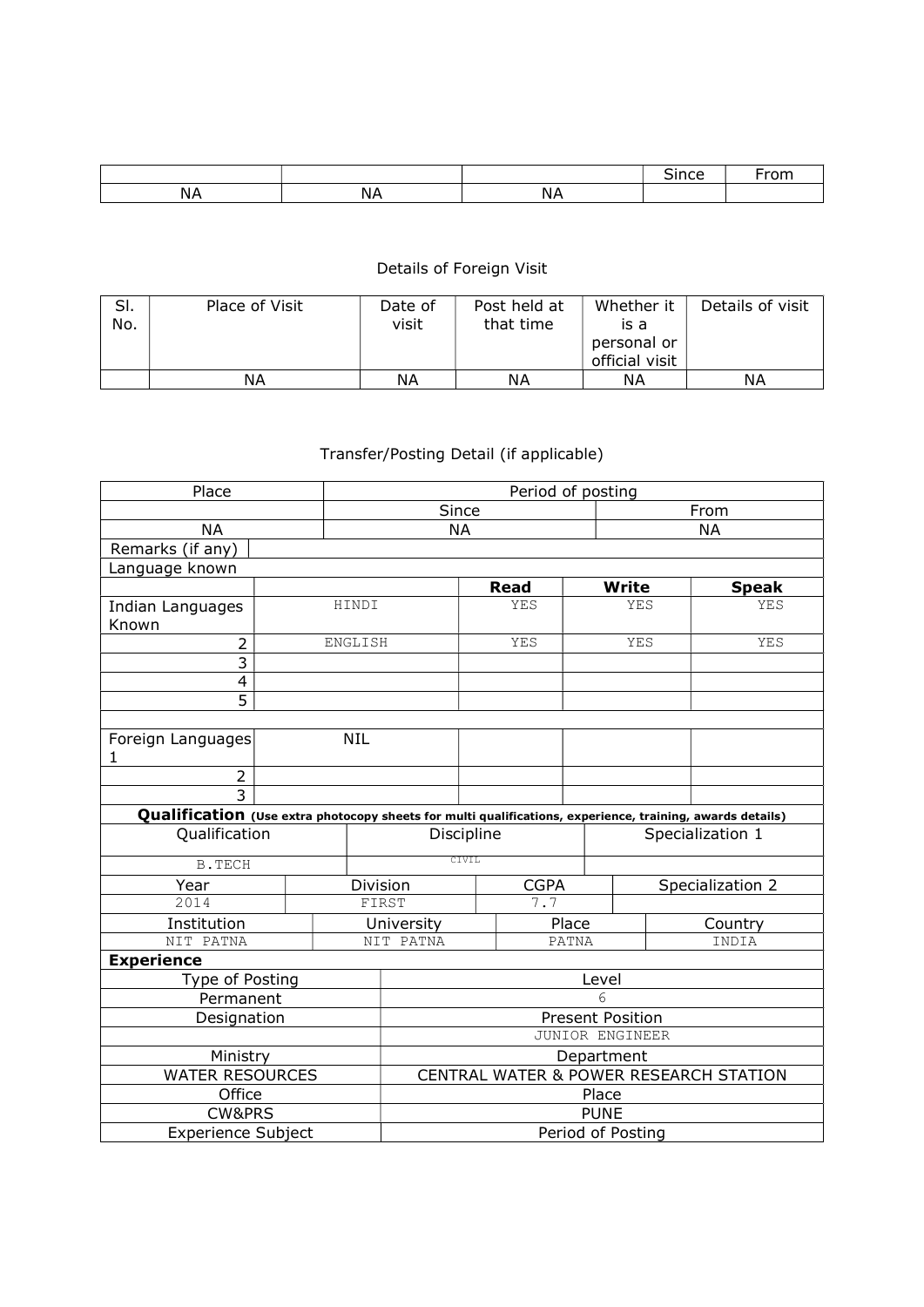## Details of Foreign Visit

| SI.<br>No. | Place of Visit | Date of<br>visit | Post held at<br>that time | Whether it<br>is a<br>personal or<br>official visit | Details of visit |
|------------|----------------|------------------|---------------------------|-----------------------------------------------------|------------------|
|            | ΝA             | ΝA               | ΝA                        | ΝA                                                  | ΝA               |

## Transfer/Posting Detail (if applicable)

| Place                                                                                                     |                                        | Period of posting       |            |             |             |              |                  |                  |  |  |
|-----------------------------------------------------------------------------------------------------------|----------------------------------------|-------------------------|------------|-------------|-------------|--------------|------------------|------------------|--|--|
|                                                                                                           |                                        | Since                   |            |             |             |              | From             |                  |  |  |
| <b>NA</b>                                                                                                 |                                        | <b>NA</b><br><b>NA</b>  |            |             |             |              |                  |                  |  |  |
| Remarks (if any)                                                                                          |                                        |                         |            |             |             |              |                  |                  |  |  |
| Language known                                                                                            |                                        |                         |            |             |             |              |                  |                  |  |  |
|                                                                                                           |                                        |                         |            | <b>Read</b> |             | <b>Write</b> |                  | <b>Speak</b>     |  |  |
| Indian Languages                                                                                          |                                        | HINDI                   |            | YES         |             | YES          |                  | YES              |  |  |
| Known                                                                                                     |                                        |                         |            |             |             |              |                  |                  |  |  |
| $\overline{2}$                                                                                            |                                        | ENGLISH                 |            |             | YES         | YES          |                  | YES              |  |  |
| $\overline{3}$                                                                                            |                                        |                         |            |             |             |              |                  |                  |  |  |
| 4                                                                                                         |                                        |                         |            |             |             |              |                  |                  |  |  |
| 5                                                                                                         |                                        |                         |            |             |             |              |                  |                  |  |  |
|                                                                                                           |                                        |                         |            |             |             |              |                  |                  |  |  |
| Foreign Languages<br>1                                                                                    |                                        | <b>NIL</b>              |            |             |             |              |                  |                  |  |  |
| $\overline{2}$                                                                                            |                                        |                         |            |             |             |              |                  |                  |  |  |
| $\overline{3}$                                                                                            |                                        |                         |            |             |             |              |                  |                  |  |  |
| Qualification (Use extra photocopy sheets for multi qualifications, experience, training, awards details) |                                        |                         |            |             |             |              |                  |                  |  |  |
| Qualification                                                                                             |                                        |                         | Discipline |             |             |              | Specialization 1 |                  |  |  |
| <b>B.TECH</b>                                                                                             |                                        |                         | CIVIL      |             |             |              |                  |                  |  |  |
| Year                                                                                                      |                                        |                         | Division   |             | <b>CGPA</b> |              |                  | Specialization 2 |  |  |
| 2014                                                                                                      |                                        |                         | FIRST      |             | 7.7         |              |                  |                  |  |  |
| Institution                                                                                               |                                        | University              |            |             | Place       |              | Country          |                  |  |  |
| NIT PATNA                                                                                                 |                                        |                         | NIT PATNA  |             | PATNA       |              | INDIA            |                  |  |  |
| <b>Experience</b>                                                                                         |                                        |                         |            |             |             |              |                  |                  |  |  |
| Type of Posting                                                                                           |                                        |                         | Level      |             |             |              |                  |                  |  |  |
| Permanent                                                                                                 | 6                                      |                         |            |             |             |              |                  |                  |  |  |
| Designation                                                                                               |                                        | <b>Present Position</b> |            |             |             |              |                  |                  |  |  |
|                                                                                                           | JUNIOR ENGINEER                        |                         |            |             |             |              |                  |                  |  |  |
| Ministry                                                                                                  | Department                             |                         |            |             |             |              |                  |                  |  |  |
| <b>WATER RESOURCES</b>                                                                                    | CENTRAL WATER & POWER RESEARCH STATION |                         |            |             |             |              |                  |                  |  |  |
| Office                                                                                                    |                                        |                         | Place      |             |             |              |                  |                  |  |  |
| <b>CW&amp;PRS</b>                                                                                         |                                        |                         |            | <b>PUNE</b> |             |              |                  |                  |  |  |
| <b>Experience Subject</b>                                                                                 | Period of Posting                      |                         |            |             |             |              |                  |                  |  |  |